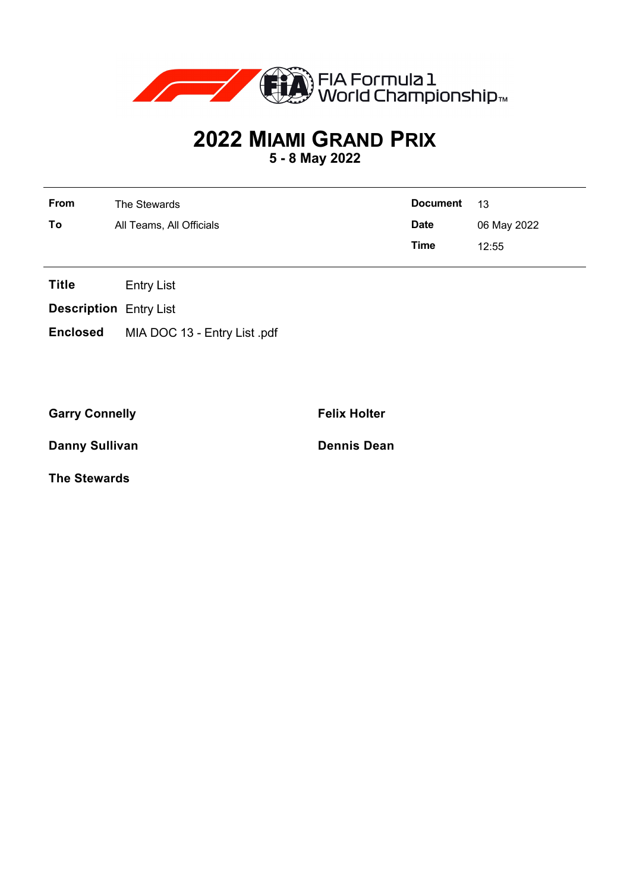

## **2022 MIAMI GRAND PRIX**

**5 - 8 May 2022**

| From | The Stewards             | Document    | $-13$       |
|------|--------------------------|-------------|-------------|
| To   | All Teams, All Officials | <b>Date</b> | 06 May 2022 |
|      |                          | Time        | 12:55       |

**Title** Entry List

**Description** Entry List

**Enclosed** MIA DOC 13 - Entry List .pdf

Garry Connelly **Felix Holter** 

**Danny Sullivan Dennis Dean** 

**The Stewards**